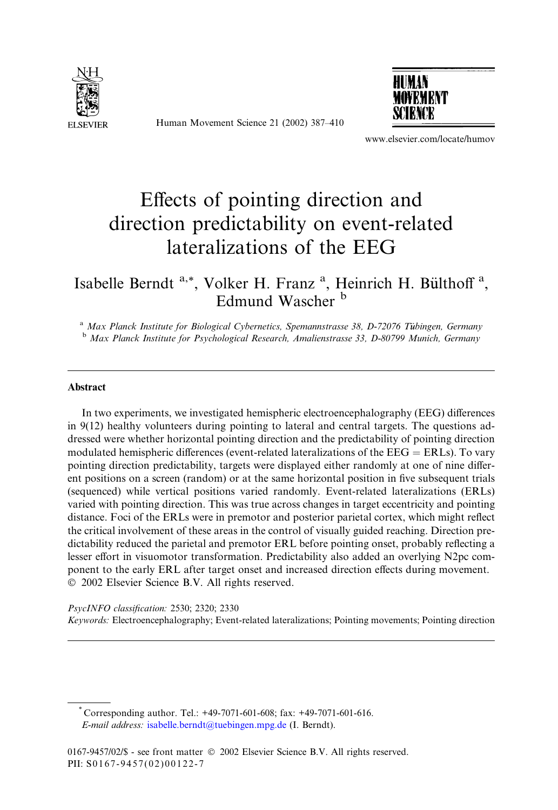

Human Movement Science 21 (2002) 387–410



www.elsevier.com/locate/humov

# Effects of pointing direction and direction predictability on event-related lateralizations of the EEG

# Isabelle Berndt <sup>a,\*</sup>, Volker H. Franz<sup>a</sup>, Heinrich H. Bülthoff<sup>a</sup>, Edmund Wascher b

<sup>a</sup> Max Planck Institute for Biological Cybernetics, Spemannstrasse 38, D-72076 Tübingen, Germany b Max Planck Institute for Psychological Research, Amalienstrasse 33, D-80799 Munich, Germany

#### Abstract

In two experiments, we investigated hemispheric electroencephalography (EEG) differences in 9(12) healthy volunteers during pointing to lateral and central targets. The questions addressed were whether horizontal pointing direction and the predictability of pointing direction modulated hemispheric differences (event-related lateralizations of the  $EEG = ERLs$ ). To vary pointing direction predictability, targets were displayed either randomly at one of nine different positions on a screen (random) or at the same horizontal position in five subsequent trials (sequenced) while vertical positions varied randomly. Event-related lateralizations (ERLs) varied with pointing direction. This was true across changes in target eccentricity and pointing distance. Foci of the ERLs were in premotor and posterior parietal cortex, which might reflect the critical involvement of these areas in the control of visually guided reaching. Direction predictability reduced the parietal and premotor ERL before pointing onset, probably reflecting a lesser effort in visuomotor transformation. Predictability also added an overlying N2pc component to the early ERL after target onset and increased direction effects during movement. 2002 Elsevier Science B.V. All rights reserved.

PsycINFO classification: 2530; 2320; 2330 Keywords: Electroencephalography; Event-related lateralizations; Pointing movements; Pointing direction

 $^*$  Corresponding author. Tel.: +49-7071-601-608; fax: +49-7071-601-616. E-mail address: [isabelle.berndt@tuebingen.mpg.de](mail to: isabelle.berndt@tuebingen.mpg.de) (I. Berndt).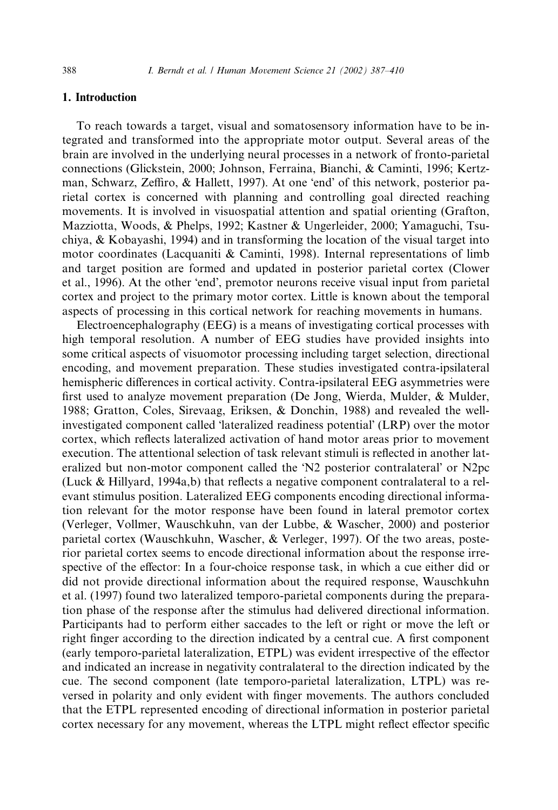# 1. Introduction

To reach towards a target, visual and somatosensory information have to be integrated and transformed into the appropriate motor output. Several areas of the brain are involved in the underlying neural processes in a network of fronto-parietal connections (Glickstein, 2000; Johnson, Ferraina, Bianchi, & Caminti, 1996; Kertzman, Schwarz, Zeffiro, & Hallett, 1997). At one 'end' of this network, posterior parietal cortex is concerned with planning and controlling goal directed reaching movements. It is involved in visuospatial attention and spatial orienting (Grafton, Mazziotta, Woods, & Phelps, 1992; Kastner & Ungerleider, 2000; Yamaguchi, Tsuchiya, & Kobayashi, 1994) and in transforming the location of the visual target into motor coordinates (Lacquaniti & Caminti, 1998). Internal representations of limb and target position are formed and updated in posterior parietal cortex (Clower et al., 1996). At the other 'end', premotor neurons receive visual input from parietal cortex and project to the primary motor cortex. Little is known about the temporal aspects of processing in this cortical network for reaching movements in humans.

Electroencephalography (EEG) is a means of investigating cortical processes with high temporal resolution. A number of EEG studies have provided insights into some critical aspects of visuomotor processing including target selection, directional encoding, and movement preparation. These studies investigated contra-ipsilateral hemispheric differences in cortical activity. Contra-ipsilateral EEG asymmetries were first used to analyze movement preparation (De Jong, Wierda, Mulder, & Mulder, 1988; Gratton, Coles, Sirevaag, Eriksen, & Donchin, 1988) and revealed the wellinvestigated component called 'lateralized readiness potential' (LRP) over the motor cortex, which reflects lateralized activation of hand motor areas prior to movement execution. The attentional selection of task relevant stimuli is reflected in another lateralized but non-motor component called the 'N2 posterior contralateral' or N2pc (Luck & Hillyard, 1994a,b) that reflects a negative component contralateral to a relevant stimulus position. Lateralized EEG components encoding directional information relevant for the motor response have been found in lateral premotor cortex (Verleger, Vollmer, Wauschkuhn, van der Lubbe, & Wascher, 2000) and posterior parietal cortex (Wauschkuhn, Wascher, & Verleger, 1997). Of the two areas, posterior parietal cortex seems to encode directional information about the response irrespective of the effector: In a four-choice response task, in which a cue either did or did not provide directional information about the required response, Wauschkuhn et al. (1997) found two lateralized temporo-parietal components during the preparation phase of the response after the stimulus had delivered directional information. Participants had to perform either saccades to the left or right or move the left or right finger according to the direction indicated by a central cue. A first component (early temporo-parietal lateralization, ETPL) was evident irrespective of the effector and indicated an increase in negativity contralateral to the direction indicated by the cue. The second component (late temporo-parietal lateralization, LTPL) was reversed in polarity and only evident with finger movements. The authors concluded that the ETPL represented encoding of directional information in posterior parietal cortex necessary for any movement, whereas the LTPL might reflect effector specific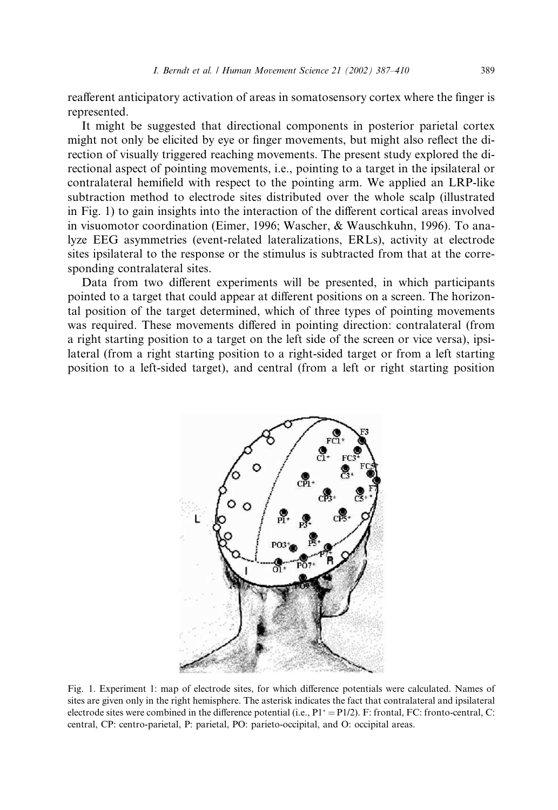reafferent anticipatory activation of areas in somatosensory cortex where the finger is represented.

It might be suggested that directional components in posterior parietal cortex might not only be elicited by eye or finger movements, but might also reflect the direction of visually triggered reaching movements. The present study explored the directional aspect of pointing movements, i.e., pointing to a target in the ipsilateral or contralateral hemifield with respect to the pointing arm. We applied an LRP-like subtraction method to electrode sites distributed over the whole scalp (illustrated in Fig. 1) to gain insights into the interaction of the different cortical areas involved in visuomotor coordination (Eimer, 1996; Wascher, & Wauschkuhn, 1996). To analyze EEG asymmetries (event-related lateralizations, ERLs), activity at electrode sites ipsilateral to the response or the stimulus is subtracted from that at the corresponding contralateral sites.

Data from two different experiments will be presented, in which participants pointed to a target that could appear at different positions on a screen. The horizontal position of the target determined, which of three types of pointing movements was required. These movements differed in pointing direction: contralateral (from a right starting position to a target on the left side of the screen or vice versa), ipsilateral (from a right starting position to a right-sided target or from a left starting position to a left-sided target), and central (from a left or right starting position



Fig. 1. Experiment 1: map of electrode sites, for which difference potentials were calculated. Names of sites are given only in the right hemisphere. The asterisk indicates the fact that contralateral and ipsilateral electrode sites were combined in the difference potential (i.e.,  $PI^* = PI/2$ ). F: frontal, FC: fronto-central, C: central, CP: centro-parietal, P: parietal, PO: parieto-occipital, and O: occipital areas.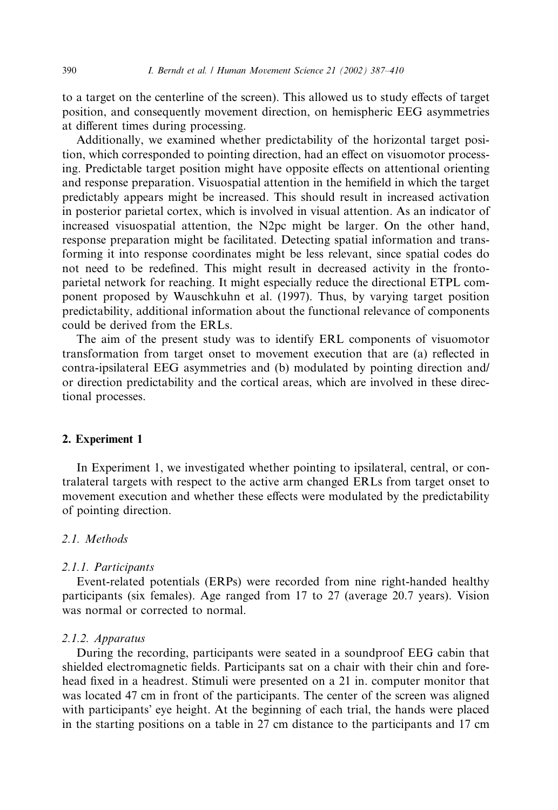to a target on the centerline of the screen). This allowed us to study effects of target position, and consequently movement direction, on hemispheric EEG asymmetries at different times during processing.

Additionally, we examined whether predictability of the horizontal target position, which corresponded to pointing direction, had an effect on visuomotor processing. Predictable target position might have opposite effects on attentional orienting and response preparation. Visuospatial attention in the hemifield in which the target predictably appears might be increased. This should result in increased activation in posterior parietal cortex, which is involved in visual attention. As an indicator of increased visuospatial attention, the N2pc might be larger. On the other hand, response preparation might be facilitated. Detecting spatial information and transforming it into response coordinates might be less relevant, since spatial codes do not need to be redefined. This might result in decreased activity in the frontoparietal network for reaching. It might especially reduce the directional ETPL component proposed by Wauschkuhn et al. (1997). Thus, by varying target position predictability, additional information about the functional relevance of components could be derived from the ERLs.

The aim of the present study was to identify ERL components of visuomotor transformation from target onset to movement execution that are (a) reflected in contra-ipsilateral EEG asymmetries and (b) modulated by pointing direction and/ or direction predictability and the cortical areas, which are involved in these directional processes.

#### 2. Experiment 1

In Experiment 1, we investigated whether pointing to ipsilateral, central, or contralateral targets with respect to the active arm changed ERLs from target onset to movement execution and whether these effects were modulated by the predictability of pointing direction.

# 2.1. Methods

#### 2.1.1. Participants

Event-related potentials (ERPs) were recorded from nine right-handed healthy participants (six females). Age ranged from 17 to 27 (average 20.7 years). Vision was normal or corrected to normal.

#### 2.1.2. Apparatus

During the recording, participants were seated in a soundproof EEG cabin that shielded electromagnetic fields. Participants sat on a chair with their chin and forehead fixed in a headrest. Stimuli were presented on a 21 in. computer monitor that was located 47 cm in front of the participants. The center of the screen was aligned with participants' eye height. At the beginning of each trial, the hands were placed in the starting positions on a table in 27 cm distance to the participants and 17 cm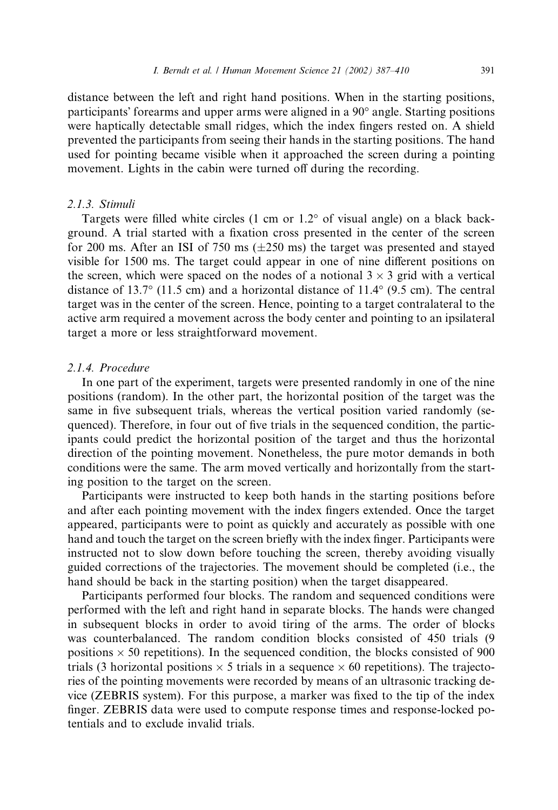distance between the left and right hand positions. When in the starting positions, participants' forearms and upper arms were aligned in a  $90^{\circ}$  angle. Starting positions were haptically detectable small ridges, which the index fingers rested on. A shield prevented the participants from seeing their hands in the starting positions. The hand used for pointing became visible when it approached the screen during a pointing movement. Lights in the cabin were turned off during the recording.

#### 2.1.3. Stimuli

Targets were filled white circles  $(1 \text{ cm or } 1.2^{\circ} \text{ of visual angle})$  on a black background. A trial started with a fixation cross presented in the center of the screen for 200 ms. After an ISI of 750 ms  $(\pm 250 \text{ ms})$  the target was presented and stayed visible for 1500 ms. The target could appear in one of nine different positions on the screen, which were spaced on the nodes of a notional  $3 \times 3$  grid with a vertical distance of 13.7 $\degree$  (11.5 cm) and a horizontal distance of 11.4 $\degree$  (9.5 cm). The central target was in the center of the screen. Hence, pointing to a target contralateral to the active arm required a movement across the body center and pointing to an ipsilateral target a more or less straightforward movement.

#### 2.1.4. Procedure

In one part of the experiment, targets were presented randomly in one of the nine positions (random). In the other part, the horizontal position of the target was the same in five subsequent trials, whereas the vertical position varied randomly (sequenced). Therefore, in four out of five trials in the sequenced condition, the participants could predict the horizontal position of the target and thus the horizontal direction of the pointing movement. Nonetheless, the pure motor demands in both conditions were the same. The arm moved vertically and horizontally from the starting position to the target on the screen.

Participants were instructed to keep both hands in the starting positions before and after each pointing movement with the index fingers extended. Once the target appeared, participants were to point as quickly and accurately as possible with one hand and touch the target on the screen briefly with the index finger. Participants were instructed not to slow down before touching the screen, thereby avoiding visually guided corrections of the trajectories. The movement should be completed (i.e., the hand should be back in the starting position) when the target disappeared.

Participants performed four blocks. The random and sequenced conditions were performed with the left and right hand in separate blocks. The hands were changed in subsequent blocks in order to avoid tiring of the arms. The order of blocks was counterbalanced. The random condition blocks consisted of 450 trials (9 positions  $\times$  50 repetitions). In the sequenced condition, the blocks consisted of 900 trials (3 horizontal positions  $\times$  5 trials in a sequence  $\times$  60 repetitions). The trajectories of the pointing movements were recorded by means of an ultrasonic tracking device (ZEBRIS system). For this purpose, a marker was fixed to the tip of the index finger. ZEBRIS data were used to compute response times and response-locked potentials and to exclude invalid trials.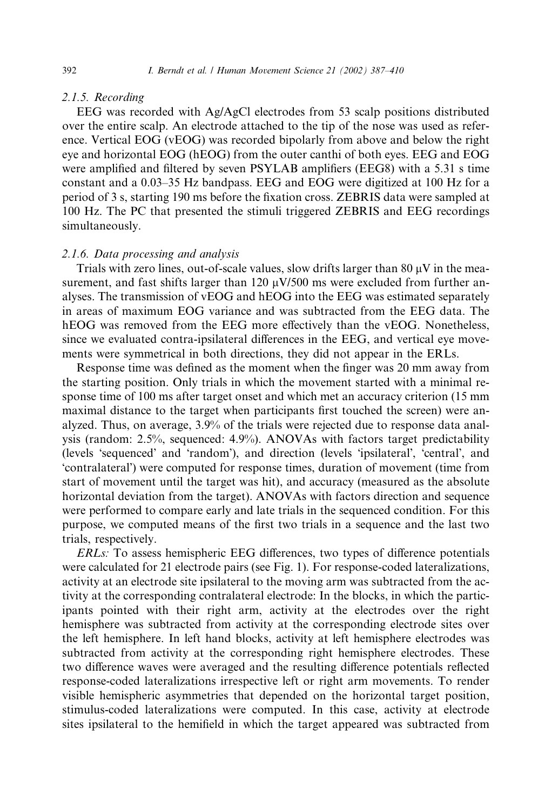# 2.1.5. Recording

EEG was recorded with Ag/AgCl electrodes from 53 scalp positions distributed over the entire scalp. An electrode attached to the tip of the nose was used as reference. Vertical EOG (vEOG) was recorded bipolarly from above and below the right eye and horizontal EOG (hEOG) from the outer canthi of both eyes. EEG and EOG were amplified and filtered by seven PSYLAB amplifiers (EEG8) with a 5.31 s time constant and a 0.03–35 Hz bandpass. EEG and EOG were digitized at 100 Hz for a period of 3 s, starting 190 ms before the fixation cross. ZEBRIS data were sampled at 100 Hz. The PC that presented the stimuli triggered ZEBRIS and EEG recordings simultaneously.

#### 2.1.6. Data processing and analysis

Trials with zero lines, out-of-scale values, slow drifts larger than 80  $\mu$ V in the measurement, and fast shifts larger than  $120 \mu V/500$  ms were excluded from further analyses. The transmission of vEOG and hEOG into the EEG was estimated separately in areas of maximum EOG variance and was subtracted from the EEG data. The hEOG was removed from the EEG more effectively than the vEOG. Nonetheless, since we evaluated contra-ipsilateral differences in the EEG, and vertical eye movements were symmetrical in both directions, they did not appear in the ERLs.

Response time was defined as the moment when the finger was 20 mm away from the starting position. Only trials in which the movement started with a minimal response time of 100 ms after target onset and which met an accuracy criterion (15 mm maximal distance to the target when participants first touched the screen) were analyzed. Thus, on average, 3.9% of the trials were rejected due to response data analysis (random: 2.5%, sequenced: 4.9%). ANOVAs with factors target predictability (levels 'sequenced' and 'random'), and direction (levels 'ipsilateral', 'central', and 'contralateral') were computed for response times, duration of movement (time from start of movement until the target was hit), and accuracy (measured as the absolute horizontal deviation from the target). ANOVAs with factors direction and sequence were performed to compare early and late trials in the sequenced condition. For this purpose, we computed means of the first two trials in a sequence and the last two trials, respectively.

ERLs: To assess hemispheric EEG differences, two types of difference potentials were calculated for 21 electrode pairs (see Fig. 1). For response-coded lateralizations, activity at an electrode site ipsilateral to the moving arm was subtracted from the activity at the corresponding contralateral electrode: In the blocks, in which the participants pointed with their right arm, activity at the electrodes over the right hemisphere was subtracted from activity at the corresponding electrode sites over the left hemisphere. In left hand blocks, activity at left hemisphere electrodes was subtracted from activity at the corresponding right hemisphere electrodes. These two difference waves were averaged and the resulting difference potentials reflected response-coded lateralizations irrespective left or right arm movements. To render visible hemispheric asymmetries that depended on the horizontal target position, stimulus-coded lateralizations were computed. In this case, activity at electrode sites ipsilateral to the hemifield in which the target appeared was subtracted from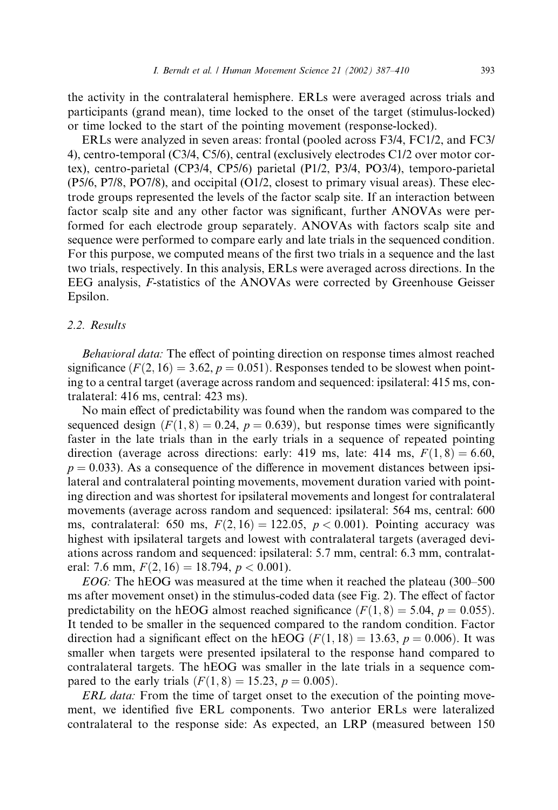the activity in the contralateral hemisphere. ERLs were averaged across trials and participants (grand mean), time locked to the onset of the target (stimulus-locked) or time locked to the start of the pointing movement (response-locked).

ERLs were analyzed in seven areas: frontal (pooled across F3/4, FC1/2, and FC3/ 4), centro-temporal (C3/4, C5/6), central (exclusively electrodes C1/2 over motor cortex), centro-parietal (CP3/4, CP5/6) parietal (P1/2, P3/4, PO3/4), temporo-parietal (P5/6, P7/8, PO7/8), and occipital (O1/2, closest to primary visual areas). These electrode groups represented the levels of the factor scalp site. If an interaction between factor scalp site and any other factor was significant, further ANOVAs were performed for each electrode group separately. ANOVAs with factors scalp site and sequence were performed to compare early and late trials in the sequenced condition. For this purpose, we computed means of the first two trials in a sequence and the last two trials, respectively. In this analysis, ERLs were averaged across directions. In the EEG analysis, F-statistics of the ANOVAs were corrected by Greenhouse Geisser Epsilon.

# 2.2. Results

Behavioral data: The effect of pointing direction on response times almost reached significance  $(F(2, 16) = 3.62, p = 0.051)$ . Responses tended to be slowest when pointing to a central target (average across random and sequenced: ipsilateral: 415 ms, contralateral: 416 ms, central: 423 ms).

No main effect of predictability was found when the random was compared to the sequenced design  $(F(1,8) = 0.24, p = 0.639)$ , but response times were significantly faster in the late trials than in the early trials in a sequence of repeated pointing direction (average across directions: early: 419 ms, late: 414 ms,  $F(1,8) = 6.60$ ,  $p = 0.033$ ). As a consequence of the difference in movement distances between ipsilateral and contralateral pointing movements, movement duration varied with pointing direction and was shortest for ipsilateral movements and longest for contralateral movements (average across random and sequenced: ipsilateral: 564 ms, central: 600 ms, contralateral: 650 ms,  $F(2, 16) = 122.05$ ,  $p < 0.001$ ). Pointing accuracy was highest with ipsilateral targets and lowest with contralateral targets (averaged deviations across random and sequenced: ipsilateral: 5.7 mm, central: 6.3 mm, contralateral: 7.6 mm,  $F(2, 16) = 18.794$ ,  $p < 0.001$ ).

 $EOG$ : The hEOG was measured at the time when it reached the plateau (300–500) ms after movement onset) in the stimulus-coded data (see Fig. 2). The effect of factor predictability on the hEOG almost reached significance  $(F(1, 8) = 5.04, p = 0.055)$ . It tended to be smaller in the sequenced compared to the random condition. Factor direction had a significant effect on the hEOG  $(F(1, 18) = 13.63, p = 0.006)$ . It was smaller when targets were presented ipsilateral to the response hand compared to contralateral targets. The hEOG was smaller in the late trials in a sequence compared to the early trials  $(F(1, 8) = 15.23, p = 0.005)$ .

ERL data: From the time of target onset to the execution of the pointing movement, we identified five ERL components. Two anterior ERLs were lateralized contralateral to the response side: As expected, an LRP (measured between 150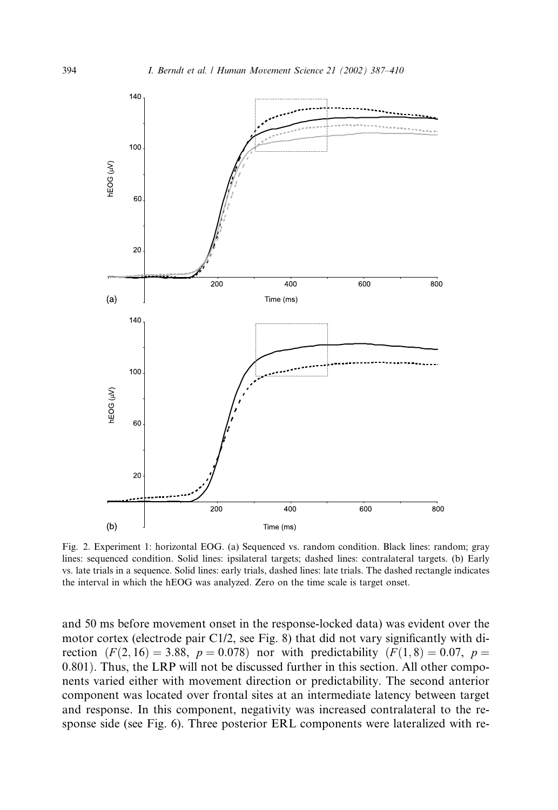

Fig. 2. Experiment 1: horizontal EOG. (a) Sequenced vs. random condition. Black lines: random; gray lines: sequenced condition. Solid lines: ipsilateral targets; dashed lines: contralateral targets. (b) Early vs. late trials in a sequence. Solid lines: early trials, dashed lines: late trials. The dashed rectangle indicates the interval in which the hEOG was analyzed. Zero on the time scale is target onset.

and 50 ms before movement onset in the response-locked data) was evident over the motor cortex (electrode pair C1/2, see Fig. 8) that did not vary significantly with direction  $(F(2, 16) = 3.88, p = 0.078)$  nor with predictability  $(F(1, 8) = 0.07, p = 0.07)$ 0.801). Thus, the LRP will not be discussed further in this section. All other components varied either with movement direction or predictability. The second anterior component was located over frontal sites at an intermediate latency between target and response. In this component, negativity was increased contralateral to the response side (see Fig. 6). Three posterior ERL components were lateralized with re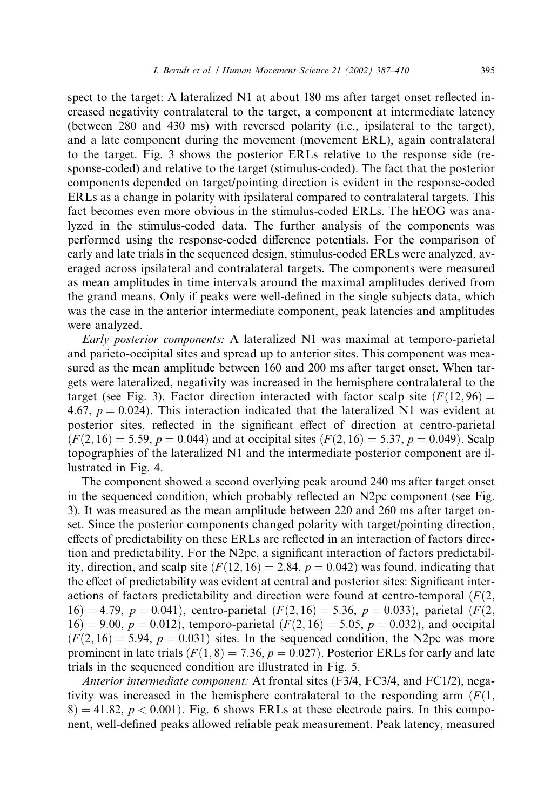spect to the target: A lateralized N1 at about 180 ms after target onset reflected increased negativity contralateral to the target, a component at intermediate latency (between 280 and 430 ms) with reversed polarity (i.e., ipsilateral to the target), and a late component during the movement (movement ERL), again contralateral to the target. Fig. 3 shows the posterior ERLs relative to the response side (response-coded) and relative to the target (stimulus-coded). The fact that the posterior components depended on target/pointing direction is evident in the response-coded ERLs as a change in polarity with ipsilateral compared to contralateral targets. This fact becomes even more obvious in the stimulus-coded ERLs. The hEOG was analyzed in the stimulus-coded data. The further analysis of the components was performed using the response-coded difference potentials. For the comparison of early and late trials in the sequenced design, stimulus-coded ERLs were analyzed, averaged across ipsilateral and contralateral targets. The components were measured as mean amplitudes in time intervals around the maximal amplitudes derived from the grand means. Only if peaks were well-defined in the single subjects data, which was the case in the anterior intermediate component, peak latencies and amplitudes were analyzed.

Early posterior components: A lateralized N1 was maximal at temporo-parietal and parieto-occipital sites and spread up to anterior sites. This component was measured as the mean amplitude between 160 and 200 ms after target onset. When targets were lateralized, negativity was increased in the hemisphere contralateral to the target (see Fig. 3). Factor direction interacted with factor scalp site  $(F(12, 96) =$ 4.67,  $p = 0.024$ ). This interaction indicated that the lateralized N1 was evident at posterior sites, reflected in the significant effect of direction at centro-parietal  $(F(2, 16) = 5.59, p = 0.044)$  and at occipital sites  $(F(2, 16) = 5.37, p = 0.049)$ . Scalp topographies of the lateralized N1 and the intermediate posterior component are illustrated in Fig. 4.

The component showed a second overlying peak around 240 ms after target onset in the sequenced condition, which probably reflected an N2pc component (see Fig. 3). It was measured as the mean amplitude between 220 and 260 ms after target onset. Since the posterior components changed polarity with target/pointing direction, effects of predictability on these ERLs are reflected in an interaction of factors direction and predictability. For the N2pc, a significant interaction of factors predictability, direction, and scalp site  $(F(12, 16) = 2.84, p = 0.042)$  was found, indicating that the effect of predictability was evident at central and posterior sites: Significant interactions of factors predictability and direction were found at centro-temporal  $F(2)$ ; 16 $=4.79, p = 0.041$ , centro-parietal  $(F(2, 16) = 5.36, p = 0.033)$ , parietal  $(F(2, 16) = 5.36, p = 0.033)$  $16$  = 9.00,  $p = 0.012$ ), temporo-parietal  $(F(2, 16) = 5.05, p = 0.032)$ , and occipital  $F(F(2, 16) = 5.94, p = 0.031)$  sites. In the sequenced condition, the N2pc was more prominent in late trials  $(F(1, 8) = 7.36, p = 0.027)$ . Posterior ERLs for early and late trials in the sequenced condition are illustrated in Fig. 5.

Anterior intermediate component: At frontal sites (F3/4, FC3/4, and FC1/2), negativity was increased in the hemisphere contralateral to the responding arm  $(F(1,$  $8 = 41.82$ ,  $p < 0.001$ ). Fig. 6 shows ERLs at these electrode pairs. In this component, well-defined peaks allowed reliable peak measurement. Peak latency, measured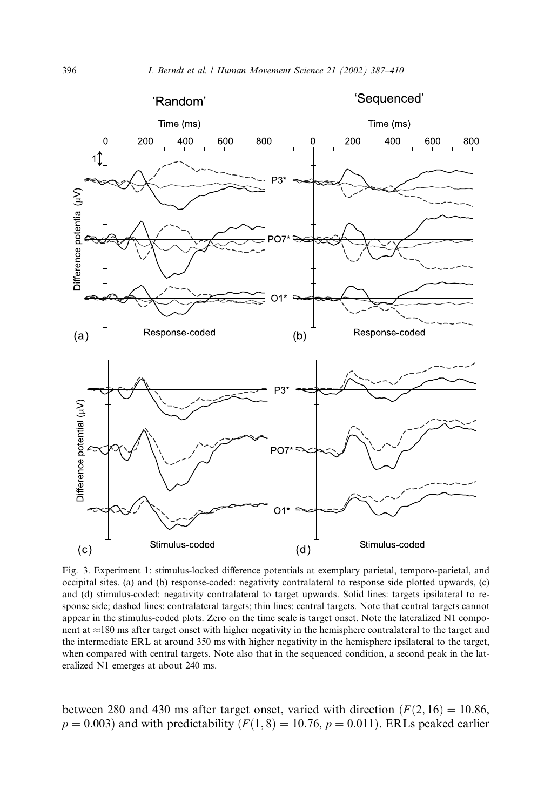

Fig. 3. Experiment 1: stimulus-locked difference potentials at exemplary parietal, temporo-parietal, and occipital sites. (a) and (b) response-coded: negativity contralateral to response side plotted upwards, (c) and (d) stimulus-coded: negativity contralateral to target upwards. Solid lines: targets ipsilateral to response side; dashed lines: contralateral targets; thin lines: central targets. Note that central targets cannot appear in the stimulus-coded plots. Zero on the time scale is target onset. Note the lateralized N1 component at  $\approx$  180 ms after target onset with higher negativity in the hemisphere contralateral to the target and the intermediate ERL at around 350 ms with higher negativity in the hemisphere ipsilateral to the target, when compared with central targets. Note also that in the sequenced condition, a second peak in the lateralized N1 emerges at about 240 ms.

between 280 and 430 ms after target onset, varied with direction  $(F(2, 16) = 10.86$ ,  $p = 0.003$ ) and with predictability  $(F(1, 8) = 10.76, p = 0.011)$ . ERLs peaked earlier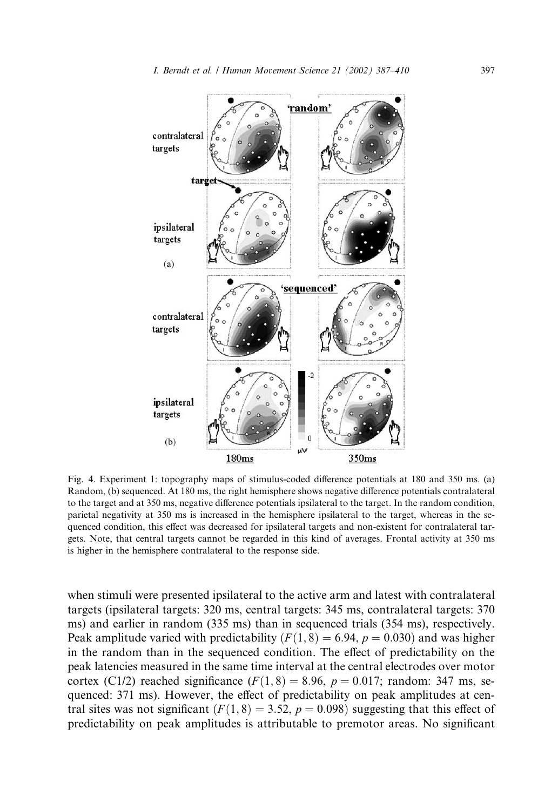

Fig. 4. Experiment 1: topography maps of stimulus-coded difference potentials at 180 and 350 ms. (a) Random, (b) sequenced. At 180 ms, the right hemisphere shows negative difference potentials contralateral to the target and at 350 ms, negative difference potentials ipsilateral to the target. In the random condition, parietal negativity at 350 ms is increased in the hemisphere ipsilateral to the target, whereas in the sequenced condition, this effect was decreased for ipsilateral targets and non-existent for contralateral targets. Note, that central targets cannot be regarded in this kind of averages. Frontal activity at 350 ms is higher in the hemisphere contralateral to the response side.

when stimuli were presented ipsilateral to the active arm and latest with contralateral targets (ipsilateral targets: 320 ms, central targets: 345 ms, contralateral targets: 370 ms) and earlier in random (335 ms) than in sequenced trials (354 ms), respectively. Peak amplitude varied with predictability  $(F(1, 8) = 6.94, p = 0.030)$  and was higher in the random than in the sequenced condition. The effect of predictability on the peak latencies measured in the same time interval at the central electrodes over motor cortex (C1/2) reached significance  $(F(1, 8) = 8.96, p = 0.017;$  random: 347 ms, sequenced: 371 ms). However, the effect of predictability on peak amplitudes at central sites was not significant  $(F(1, 8) = 3.52, p = 0.098)$  suggesting that this effect of predictability on peak amplitudes is attributable to premotor areas. No significant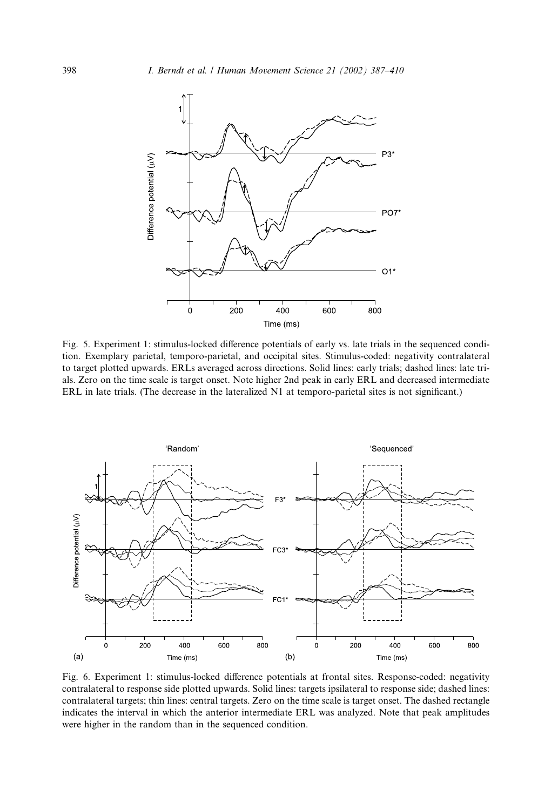

Fig. 5. Experiment 1: stimulus-locked difference potentials of early vs. late trials in the sequenced condition. Exemplary parietal, temporo-parietal, and occipital sites. Stimulus-coded: negativity contralateral to target plotted upwards. ERLs averaged across directions. Solid lines: early trials; dashed lines: late trials. Zero on the time scale is target onset. Note higher 2nd peak in early ERL and decreased intermediate ERL in late trials. (The decrease in the lateralized N1 at temporo-parietal sites is not significant.)



Fig. 6. Experiment 1: stimulus-locked difference potentials at frontal sites. Response-coded: negativity contralateral to response side plotted upwards. Solid lines: targets ipsilateral to response side; dashed lines: contralateral targets; thin lines: central targets. Zero on the time scale is target onset. The dashed rectangle indicates the interval in which the anterior intermediate ERL was analyzed. Note that peak amplitudes were higher in the random than in the sequenced condition.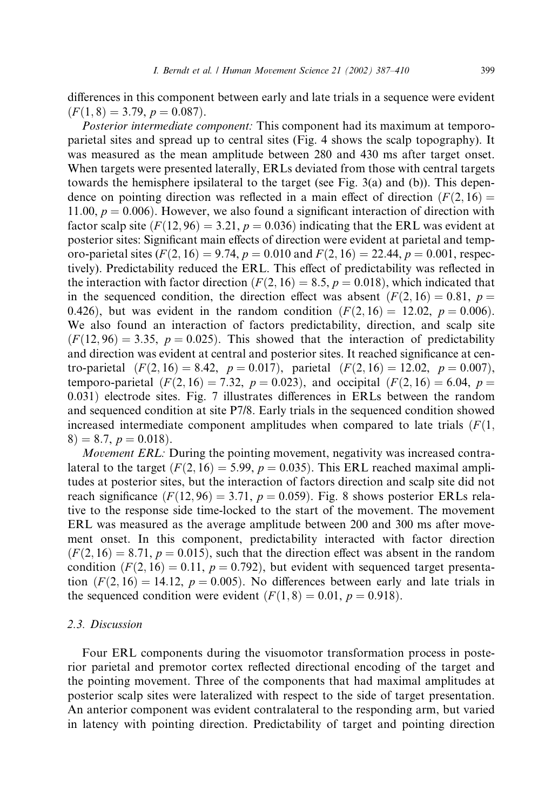differences in this component between early and late trials in a sequence were evident  $(F(1, 8) = 3.79, p = 0.087).$ 

Posterior intermediate component: This component had its maximum at temporoparietal sites and spread up to central sites (Fig. 4 shows the scalp topography). It was measured as the mean amplitude between 280 and 430 ms after target onset. When targets were presented laterally, ERLs deviated from those with central targets towards the hemisphere ipsilateral to the target (see Fig. 3(a) and (b)). This dependence on pointing direction was reflected in a main effect of direction  $(F(2, 16) =$ 11.00,  $p = 0.006$ . However, we also found a significant interaction of direction with factor scalp site  $(F(12, 96) = 3.21, p = 0.036)$  indicating that the ERL was evident at posterior sites: Significant main effects of direction were evident at parietal and temporo-parietal sites ( $F(2, 16) = 9.74$ ,  $p = 0.010$  and  $F(2, 16) = 22.44$ ,  $p = 0.001$ , respectively). Predictability reduced the ERL. This effect of predictability was reflected in the interaction with factor direction  $(F(2, 16) = 8.5, p = 0.018)$ , which indicated that in the sequenced condition, the direction effect was absent  $(F(2, 16) = 0.81, p =$ 0.426), but was evident in the random condition  $(F(2, 16) = 12.02, p = 0.006)$ . We also found an interaction of factors predictability, direction, and scalp site  $F(12, 96) = 3.35$ ,  $p = 0.025$ . This showed that the interaction of predictability and direction was evident at central and posterior sites. It reached significance at centro-parietal  $(F(2, 16) = 8.42, p = 0.017)$ , parietal  $(F(2, 16) = 12.02, p = 0.007)$ , temporo-parietal  $(F(2, 16) = 7.32, p = 0.023)$ , and occipital  $(F(2, 16) = 6.04, p = 0.025)$ 0.031) electrode sites. Fig. 7 illustrates differences in ERLs between the random and sequenced condition at site P7/8. Early trials in the sequenced condition showed increased intermediate component amplitudes when compared to late trials  $(F(1,$  $8) = 8.7, p = 0.018.$ 

Movement ERL: During the pointing movement, negativity was increased contralateral to the target  $(F(2, 16) = 5.99, p = 0.035)$ . This ERL reached maximal amplitudes at posterior sites, but the interaction of factors direction and scalp site did not reach significance  $(F(12, 96) = 3.71, p = 0.059)$ . Fig. 8 shows posterior ERLs relative to the response side time-locked to the start of the movement. The movement ERL was measured as the average amplitude between 200 and 300 ms after movement onset. In this component, predictability interacted with factor direction  $(F(2, 16) = 8.71, p = 0.015)$ , such that the direction effect was absent in the random condition  $(F(2, 16) = 0.11, p = 0.792)$ , but evident with sequenced target presentation  $(F(2, 16) = 14.12, p = 0.005)$ . No differences between early and late trials in the sequenced condition were evident  $(F(1, 8) = 0.01, p = 0.918)$ .

## 2.3. Discussion

Four ERL components during the visuomotor transformation process in posterior parietal and premotor cortex reflected directional encoding of the target and the pointing movement. Three of the components that had maximal amplitudes at posterior scalp sites were lateralized with respect to the side of target presentation. An anterior component was evident contralateral to the responding arm, but varied in latency with pointing direction. Predictability of target and pointing direction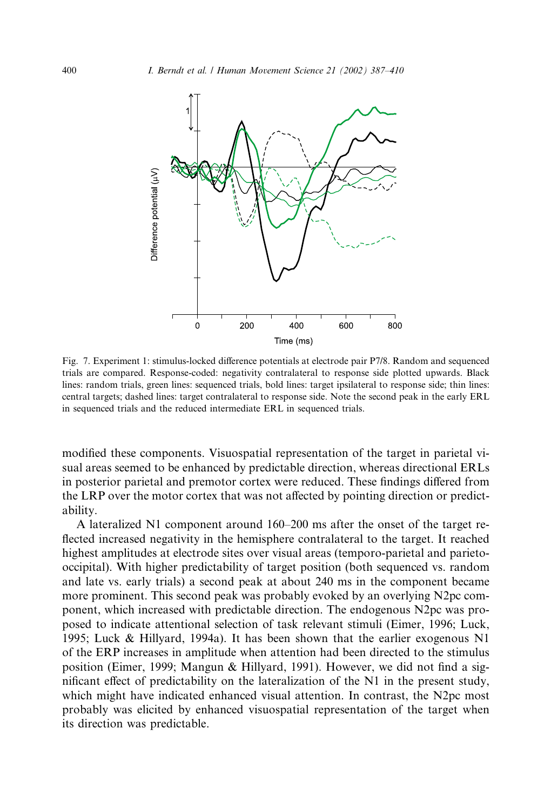

Fig. 7. Experiment 1: stimulus-locked difference potentials at electrode pair P7/8. Random and sequenced trials are compared. Response-coded: negativity contralateral to response side plotted upwards. Black lines: random trials, green lines: sequenced trials, bold lines: target ipsilateral to response side; thin lines: central targets; dashed lines: target contralateral to response side. Note the second peak in the early ERL in sequenced trials and the reduced intermediate ERL in sequenced trials.

modified these components. Visuospatial representation of the target in parietal visual areas seemed to be enhanced by predictable direction, whereas directional ERLs in posterior parietal and premotor cortex were reduced. These findings differed from the LRP over the motor cortex that was not affected by pointing direction or predictability.

A lateralized N1 component around 160–200 ms after the onset of the target reflected increased negativity in the hemisphere contralateral to the target. It reached highest amplitudes at electrode sites over visual areas (temporo-parietal and parietooccipital). With higher predictability of target position (both sequenced vs. random and late vs. early trials) a second peak at about 240 ms in the component became more prominent. This second peak was probably evoked by an overlying N2pc component, which increased with predictable direction. The endogenous N2pc was proposed to indicate attentional selection of task relevant stimuli (Eimer, 1996; Luck, 1995; Luck & Hillyard, 1994a). It has been shown that the earlier exogenous N1 of the ERP increases in amplitude when attention had been directed to the stimulus position (Eimer, 1999; Mangun & Hillyard, 1991). However, we did not find a significant effect of predictability on the lateralization of the N1 in the present study, which might have indicated enhanced visual attention. In contrast, the N2pc most probably was elicited by enhanced visuospatial representation of the target when its direction was predictable.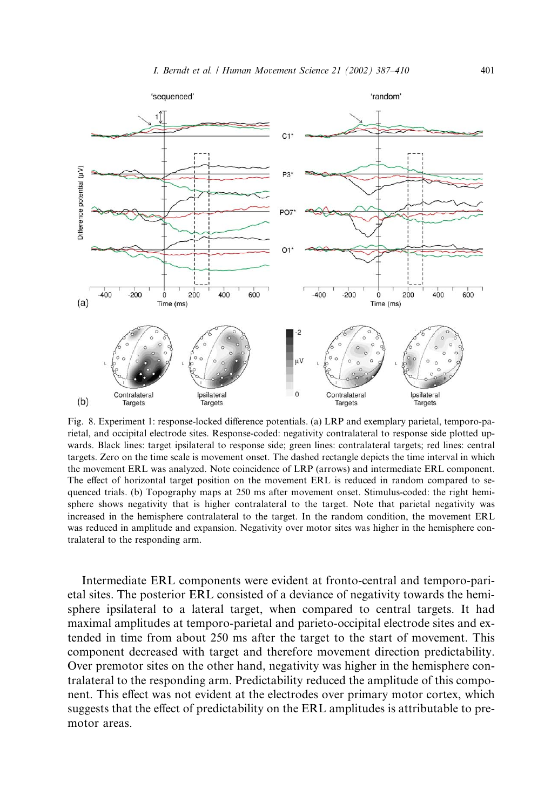

Fig. 8. Experiment 1: response-locked difference potentials. (a) LRP and exemplary parietal, temporo-parietal, and occipital electrode sites. Response-coded: negativity contralateral to response side plotted upwards. Black lines: target ipsilateral to response side; green lines: contralateral targets; red lines: central targets. Zero on the time scale is movement onset. The dashed rectangle depicts the time interval in which the movement ERL was analyzed. Note coincidence of LRP (arrows) and intermediate ERL component. The effect of horizontal target position on the movement ERL is reduced in random compared to sequenced trials. (b) Topography maps at 250 ms after movement onset. Stimulus-coded: the right hemisphere shows negativity that is higher contralateral to the target. Note that parietal negativity was increased in the hemisphere contralateral to the target. In the random condition, the movement ERL was reduced in amplitude and expansion. Negativity over motor sites was higher in the hemisphere contralateral to the responding arm.

Intermediate ERL components were evident at fronto-central and temporo-parietal sites. The posterior ERL consisted of a deviance of negativity towards the hemisphere ipsilateral to a lateral target, when compared to central targets. It had maximal amplitudes at temporo-parietal and parieto-occipital electrode sites and extended in time from about 250 ms after the target to the start of movement. This component decreased with target and therefore movement direction predictability. Over premotor sites on the other hand, negativity was higher in the hemisphere contralateral to the responding arm. Predictability reduced the amplitude of this component. This effect was not evident at the electrodes over primary motor cortex, which suggests that the effect of predictability on the ERL amplitudes is attributable to premotor areas.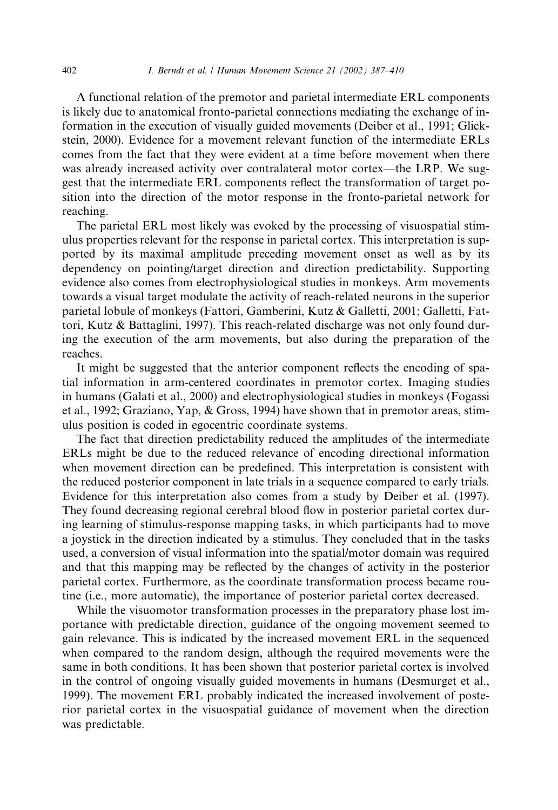A functional relation of the premotor and parietal intermediate ERL components is likely due to anatomical fronto-parietal connections mediating the exchange of information in the execution of visually guided movements (Deiber et al., 1991; Glickstein, 2000). Evidence for a movement relevant function of the intermediate ERLs comes from the fact that they were evident at a time before movement when there was already increased activity over contralateral motor cortex––the LRP. We suggest that the intermediate ERL components reflect the transformation of target position into the direction of the motor response in the fronto-parietal network for reaching.

The parietal ERL most likely was evoked by the processing of visuospatial stimulus properties relevant for the response in parietal cortex. This interpretation is supported by its maximal amplitude preceding movement onset as well as by its dependency on pointing/target direction and direction predictability. Supporting evidence also comes from electrophysiological studies in monkeys. Arm movements towards a visual target modulate the activity of reach-related neurons in the superior parietal lobule of monkeys (Fattori, Gamberini, Kutz & Galletti, 2001; Galletti, Fattori, Kutz & Battaglini, 1997). This reach-related discharge was not only found during the execution of the arm movements, but also during the preparation of the reaches.

It might be suggested that the anterior component reflects the encoding of spatial information in arm-centered coordinates in premotor cortex. Imaging studies in humans (Galati et al., 2000) and electrophysiological studies in monkeys (Fogassi et al., 1992; Graziano, Yap, & Gross, 1994) have shown that in premotor areas, stimulus position is coded in egocentric coordinate systems.

The fact that direction predictability reduced the amplitudes of the intermediate ERLs might be due to the reduced relevance of encoding directional information when movement direction can be predefined. This interpretation is consistent with the reduced posterior component in late trials in a sequence compared to early trials. Evidence for this interpretation also comes from a study by Deiber et al. (1997). They found decreasing regional cerebral blood flow in posterior parietal cortex during learning of stimulus-response mapping tasks, in which participants had to move a joystick in the direction indicated by a stimulus. They concluded that in the tasks used, a conversion of visual information into the spatial/motor domain was required and that this mapping may be reflected by the changes of activity in the posterior parietal cortex. Furthermore, as the coordinate transformation process became routine (i.e., more automatic), the importance of posterior parietal cortex decreased.

While the visuomotor transformation processes in the preparatory phase lost importance with predictable direction, guidance of the ongoing movement seemed to gain relevance. This is indicated by the increased movement ERL in the sequenced when compared to the random design, although the required movements were the same in both conditions. It has been shown that posterior parietal cortex is involved in the control of ongoing visually guided movements in humans (Desmurget et al., 1999). The movement ERL probably indicated the increased involvement of posterior parietal cortex in the visuospatial guidance of movement when the direction was predictable.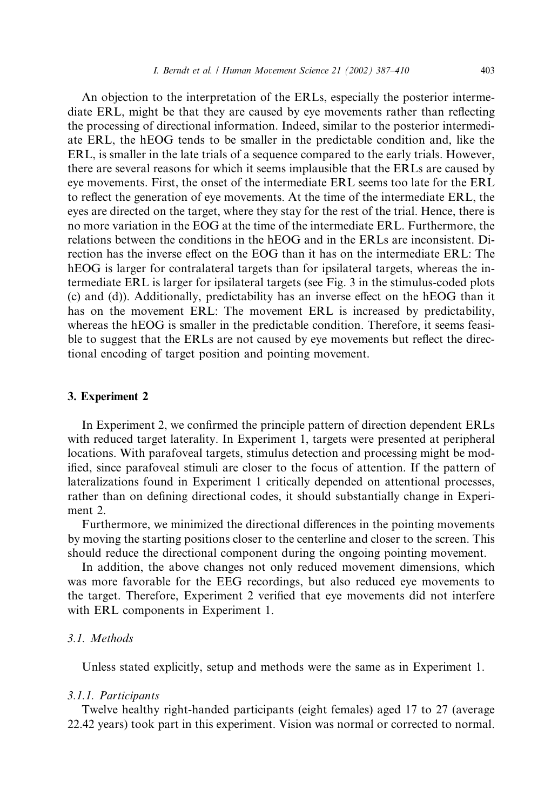An objection to the interpretation of the ERLs, especially the posterior intermediate ERL, might be that they are caused by eye movements rather than reflecting the processing of directional information. Indeed, similar to the posterior intermediate ERL, the hEOG tends to be smaller in the predictable condition and, like the ERL, is smaller in the late trials of a sequence compared to the early trials. However, there are several reasons for which it seems implausible that the ERLs are caused by eye movements. First, the onset of the intermediate ERL seems too late for the ERL to reflect the generation of eye movements. At the time of the intermediate ERL, the eyes are directed on the target, where they stay for the rest of the trial. Hence, there is no more variation in the EOG at the time of the intermediate ERL. Furthermore, the relations between the conditions in the hEOG and in the ERLs are inconsistent. Direction has the inverse effect on the EOG than it has on the intermediate ERL: The hEOG is larger for contralateral targets than for ipsilateral targets, whereas the intermediate ERL is larger for ipsilateral targets (see Fig. 3 in the stimulus-coded plots (c) and (d)). Additionally, predictability has an inverse effect on the hEOG than it has on the movement ERL: The movement ERL is increased by predictability, whereas the hEOG is smaller in the predictable condition. Therefore, it seems feasible to suggest that the ERLs are not caused by eye movements but reflect the directional encoding of target position and pointing movement.

#### 3. Experiment 2

In Experiment 2, we confirmed the principle pattern of direction dependent ERLs with reduced target laterality. In Experiment 1, targets were presented at peripheral locations. With parafoveal targets, stimulus detection and processing might be modified, since parafoveal stimuli are closer to the focus of attention. If the pattern of lateralizations found in Experiment 1 critically depended on attentional processes, rather than on defining directional codes, it should substantially change in Experiment 2.

Furthermore, we minimized the directional differences in the pointing movements by moving the starting positions closer to the centerline and closer to the screen. This should reduce the directional component during the ongoing pointing movement.

In addition, the above changes not only reduced movement dimensions, which was more favorable for the EEG recordings, but also reduced eye movements to the target. Therefore, Experiment 2 verified that eye movements did not interfere with ERL components in Experiment 1.

## 3.1. Methods

Unless stated explicitly, setup and methods were the same as in Experiment 1.

#### 3.1.1. Participants

Twelve healthy right-handed participants (eight females) aged 17 to 27 (average 22.42 years) took part in this experiment. Vision was normal or corrected to normal.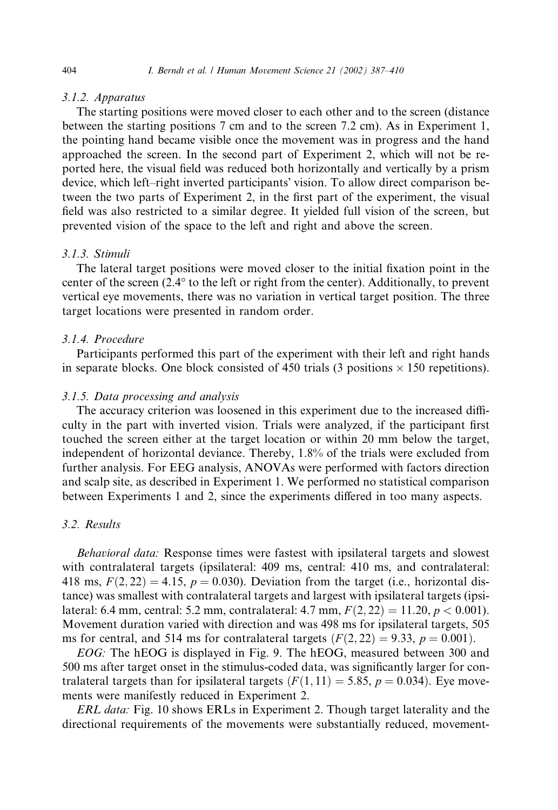# 3.1.2. Apparatus

The starting positions were moved closer to each other and to the screen (distance between the starting positions 7 cm and to the screen 7.2 cm). As in Experiment 1, the pointing hand became visible once the movement was in progress and the hand approached the screen. In the second part of Experiment 2, which will not be reported here, the visual field was reduced both horizontally and vertically by a prism device, which left–right inverted participants' vision. To allow direct comparison between the two parts of Experiment 2, in the first part of the experiment, the visual field was also restricted to a similar degree. It yielded full vision of the screen, but prevented vision of the space to the left and right and above the screen.

#### 3.1.3. Stimuli

The lateral target positions were moved closer to the initial fixation point in the center of the screen (2.4° to the left or right from the center). Additionally, to prevent vertical eye movements, there was no variation in vertical target position. The three target locations were presented in random order.

#### 3.1.4. Procedure

Participants performed this part of the experiment with their left and right hands in separate blocks. One block consisted of 450 trials (3 positions  $\times$  150 repetitions).

#### 3.1.5. Data processing and analysis

The accuracy criterion was loosened in this experiment due to the increased difficulty in the part with inverted vision. Trials were analyzed, if the participant first touched the screen either at the target location or within 20 mm below the target, independent of horizontal deviance. Thereby, 1.8% of the trials were excluded from further analysis. For EEG analysis, ANOVAs were performed with factors direction and scalp site, as described in Experiment 1. We performed no statistical comparison between Experiments 1 and 2, since the experiments differed in too many aspects.

# 3.2. Results

Behavioral data: Response times were fastest with ipsilateral targets and slowest with contralateral targets (ipsilateral: 409 ms, central: 410 ms, and contralateral: 418 ms,  $F(2,22) = 4.15$ ,  $p = 0.030$ ). Deviation from the target (i.e., horizontal distance) was smallest with contralateral targets and largest with ipsilateral targets (ipsilateral: 6.4 mm, central: 5.2 mm, contralateral: 4.7 mm,  $F(2,22) = 11.20, p < 0.001$ ). Movement duration varied with direction and was 498 ms for ipsilateral targets, 505 ms for central, and 514 ms for contralateral targets  $(F(2, 22) = 9.33, p = 0.001)$ .

EOG: The hEOG is displayed in Fig. 9. The hEOG, measured between 300 and 500 ms after target onset in the stimulus-coded data, was significantly larger for contralateral targets than for ipsilateral targets  $(F(1, 11) = 5.85, p = 0.034)$ . Eye movements were manifestly reduced in Experiment 2.

ERL data: Fig. 10 shows ERLs in Experiment 2. Though target laterality and the directional requirements of the movements were substantially reduced, movement-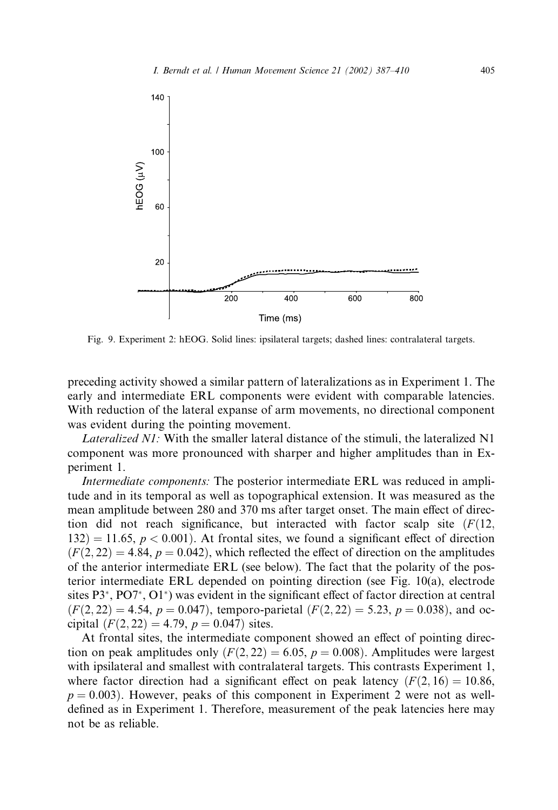

Fig. 9. Experiment 2: hEOG. Solid lines: ipsilateral targets; dashed lines: contralateral targets.

preceding activity showed a similar pattern of lateralizations as in Experiment 1. The early and intermediate ERL components were evident with comparable latencies. With reduction of the lateral expanse of arm movements, no directional component was evident during the pointing movement.

Lateralized N1: With the smaller lateral distance of the stimuli, the lateralized N1 component was more pronounced with sharper and higher amplitudes than in Experiment 1.

Intermediate components: The posterior intermediate ERL was reduced in amplitude and in its temporal as well as topographical extension. It was measured as the mean amplitude between 280 and 370 ms after target onset. The main effect of direction did not reach significance, but interacted with factor scalp site  $(F(12,$  $132$  = 11.65, p < 0.001). At frontal sites, we found a significant effect of direction  $(F(2, 22) = 4.84, p = 0.042)$ , which reflected the effect of direction on the amplitudes of the anterior intermediate ERL (see below). The fact that the polarity of the posterior intermediate ERL depended on pointing direction (see Fig. 10(a), electrode sites  $P3^*$ ,  $PO7^*$ ,  $O1^*$ ) was evident in the significant effect of factor direction at central  $(F(2, 22) = 4.54, p = 0.047)$ , temporo-parietal  $(F(2, 22) = 5.23, p = 0.038)$ , and occipital  $(F(2, 22) = 4.79, p = 0.047)$  sites.

At frontal sites, the intermediate component showed an effect of pointing direction on peak amplitudes only  $(F(2, 22) = 6.05, p = 0.008)$ . Amplitudes were largest with ipsilateral and smallest with contralateral targets. This contrasts Experiment 1, where factor direction had a significant effect on peak latency  $(F(2, 16) = 10.86$ ,  $p = 0.003$ . However, peaks of this component in Experiment 2 were not as welldefined as in Experiment 1. Therefore, measurement of the peak latencies here may not be as reliable.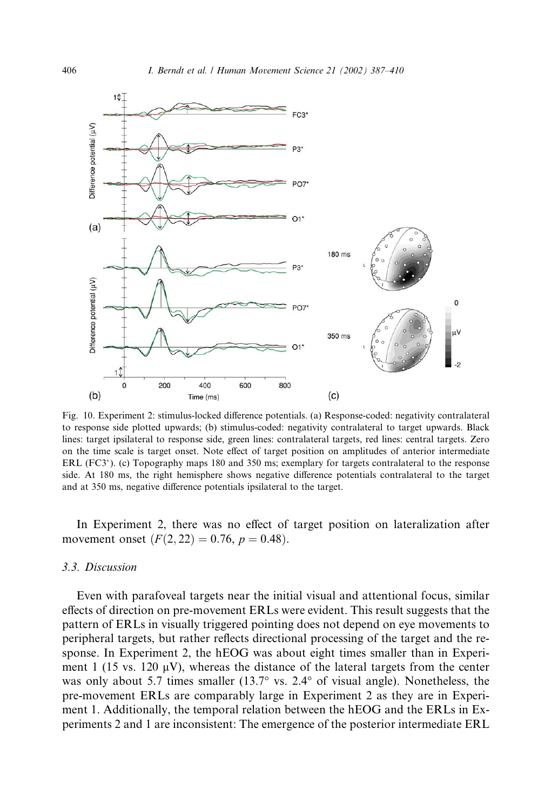

Fig. 10. Experiment 2: stimulus-locked difference potentials. (a) Response-coded: negativity contralateral to response side plotted upwards; (b) stimulus-coded: negativity contralateral to target upwards. Black lines: target ipsilateral to response side, green lines: contralateral targets, red lines: central targets. Zero on the time scale is target onset. Note effect of target position on amplitudes of anterior intermediate ERL (FC3<sup>+</sup>). (c) Topography maps 180 and 350 ms; exemplary for targets contralateral to the response side. At 180 ms, the right hemisphere shows negative difference potentials contralateral to the target and at 350 ms, negative difference potentials ipsilateral to the target.

In Experiment 2, there was no effect of target position on lateralization after movement onset  $(F(2, 22) = 0.76, p = 0.48)$ .

#### 3.3. Discussion

Even with parafoveal targets near the initial visual and attentional focus, similar effects of direction on pre-movement ERLs were evident. This result suggests that the pattern of ERLs in visually triggered pointing does not depend on eye movements to peripheral targets, but rather reflects directional processing of the target and the response. In Experiment 2, the hEOG was about eight times smaller than in Experiment 1 (15 vs. 120  $\mu$ V), whereas the distance of the lateral targets from the center was only about 5.7 times smaller  $(13.7^{\circ}$  vs.  $2.4^{\circ}$  of visual angle). Nonetheless, the pre-movement ERLs are comparably large in Experiment 2 as they are in Experiment 1. Additionally, the temporal relation between the hEOG and the ERLs in Experiments 2 and 1 are inconsistent: The emergence of the posterior intermediate ERL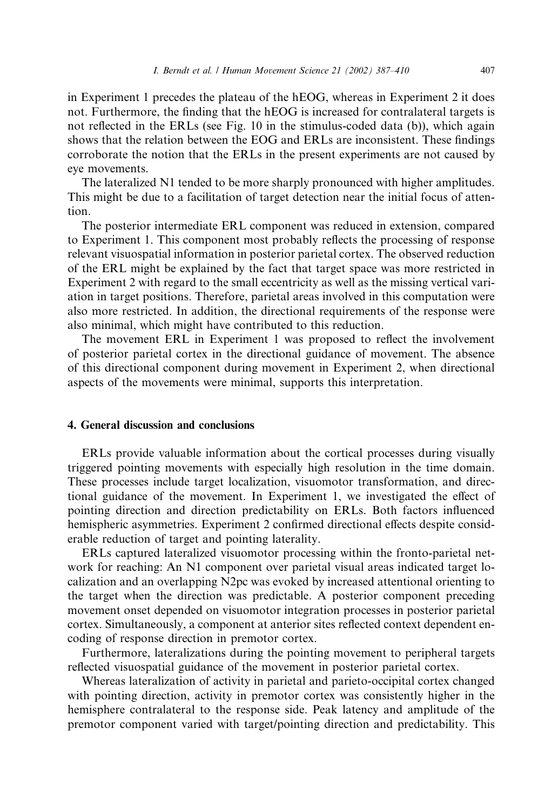in Experiment 1 precedes the plateau of the hEOG, whereas in Experiment 2 it does not. Furthermore, the finding that the hEOG is increased for contralateral targets is not reflected in the ERLs (see Fig. 10 in the stimulus-coded data (b)), which again shows that the relation between the EOG and ERLs are inconsistent. These findings corroborate the notion that the ERLs in the present experiments are not caused by eye movements.

The lateralized N1 tended to be more sharply pronounced with higher amplitudes. This might be due to a facilitation of target detection near the initial focus of attention.

The posterior intermediate ERL component was reduced in extension, compared to Experiment 1. This component most probably reflects the processing of response relevant visuospatial information in posterior parietal cortex. The observed reduction of the ERL might be explained by the fact that target space was more restricted in Experiment 2 with regard to the small eccentricity as well as the missing vertical variation in target positions. Therefore, parietal areas involved in this computation were also more restricted. In addition, the directional requirements of the response were also minimal, which might have contributed to this reduction.

The movement ERL in Experiment 1 was proposed to reflect the involvement of posterior parietal cortex in the directional guidance of movement. The absence of this directional component during movement in Experiment 2, when directional aspects of the movements were minimal, supports this interpretation.

#### 4. General discussion and conclusions

ERLs provide valuable information about the cortical processes during visually triggered pointing movements with especially high resolution in the time domain. These processes include target localization, visuomotor transformation, and directional guidance of the movement. In Experiment 1, we investigated the effect of pointing direction and direction predictability on ERLs. Both factors influenced hemispheric asymmetries. Experiment 2 confirmed directional effects despite considerable reduction of target and pointing laterality.

ERLs captured lateralized visuomotor processing within the fronto-parietal network for reaching: An N1 component over parietal visual areas indicated target localization and an overlapping N2pc was evoked by increased attentional orienting to the target when the direction was predictable. A posterior component preceding movement onset depended on visuomotor integration processes in posterior parietal cortex. Simultaneously, a component at anterior sites reflected context dependent encoding of response direction in premotor cortex.

Furthermore, lateralizations during the pointing movement to peripheral targets reflected visuospatial guidance of the movement in posterior parietal cortex.

Whereas lateralization of activity in parietal and parieto-occipital cortex changed with pointing direction, activity in premotor cortex was consistently higher in the hemisphere contralateral to the response side. Peak latency and amplitude of the premotor component varied with target/pointing direction and predictability. This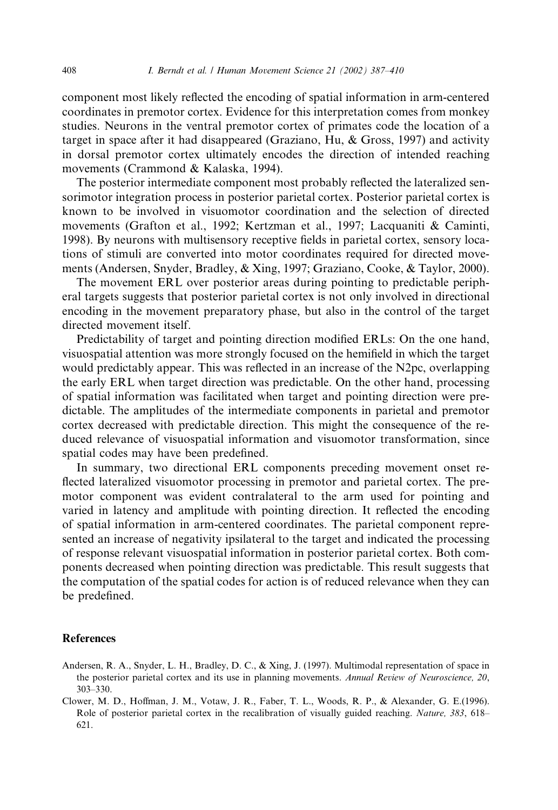component most likely reflected the encoding of spatial information in arm-centered coordinates in premotor cortex. Evidence for this interpretation comes from monkey studies. Neurons in the ventral premotor cortex of primates code the location of a target in space after it had disappeared (Graziano, Hu, & Gross, 1997) and activity in dorsal premotor cortex ultimately encodes the direction of intended reaching movements (Crammond & Kalaska, 1994).

The posterior intermediate component most probably reflected the lateralized sensorimotor integration process in posterior parietal cortex. Posterior parietal cortex is known to be involved in visuomotor coordination and the selection of directed movements (Grafton et al., 1992; Kertzman et al., 1997; Lacquaniti & Caminti, 1998). By neurons with multisensory receptive fields in parietal cortex, sensory locations of stimuli are converted into motor coordinates required for directed movements (Andersen, Snyder, Bradley, & Xing, 1997; Graziano, Cooke, & Taylor, 2000).

The movement ERL over posterior areas during pointing to predictable peripheral targets suggests that posterior parietal cortex is not only involved in directional encoding in the movement preparatory phase, but also in the control of the target directed movement itself.

Predictability of target and pointing direction modified ERLs: On the one hand, visuospatial attention was more strongly focused on the hemifield in which the target would predictably appear. This was reflected in an increase of the N2pc, overlapping the early ERL when target direction was predictable. On the other hand, processing of spatial information was facilitated when target and pointing direction were predictable. The amplitudes of the intermediate components in parietal and premotor cortex decreased with predictable direction. This might the consequence of the reduced relevance of visuospatial information and visuomotor transformation, since spatial codes may have been predefined.

In summary, two directional ERL components preceding movement onset reflected lateralized visuomotor processing in premotor and parietal cortex. The premotor component was evident contralateral to the arm used for pointing and varied in latency and amplitude with pointing direction. It reflected the encoding of spatial information in arm-centered coordinates. The parietal component represented an increase of negativity ipsilateral to the target and indicated the processing of response relevant visuospatial information in posterior parietal cortex. Both components decreased when pointing direction was predictable. This result suggests that the computation of the spatial codes for action is of reduced relevance when they can be predefined.

## **References**

- Andersen, R. A., Snyder, L. H., Bradley, D. C., & Xing, J. (1997). Multimodal representation of space in the posterior parietal cortex and its use in planning movements. Annual Review of Neuroscience, 20, 303–330.
- Clower, M. D., Hoffman, J. M., Votaw, J. R., Faber, T. L., Woods, R. P., & Alexander, G. E.(1996). Role of posterior parietal cortex in the recalibration of visually guided reaching. Nature, 383, 618– 621.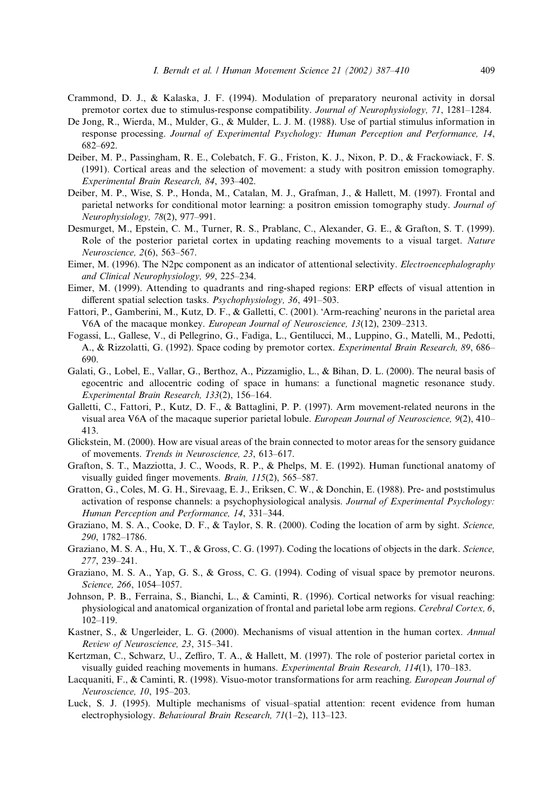- Crammond, D. J., & Kalaska, J. F. (1994). Modulation of preparatory neuronal activity in dorsal premotor cortex due to stimulus-response compatibility. Journal of Neurophysiology, 71, 1281–1284.
- De Jong, R., Wierda, M., Mulder, G., & Mulder, L. J. M. (1988). Use of partial stimulus information in response processing. Journal of Experimental Psychology: Human Perception and Performance, 14, 682–692.
- Deiber, M. P., Passingham, R. E., Colebatch, F. G., Friston, K. J., Nixon, P. D., & Frackowiack, F. S. (1991). Cortical areas and the selection of movement: a study with positron emission tomography. Experimental Brain Research, 84, 393–402.
- Deiber, M. P., Wise, S. P., Honda, M., Catalan, M. J., Grafman, J., & Hallett, M. (1997). Frontal and parietal networks for conditional motor learning: a positron emission tomography study. Journal of Neurophysiology, 78(2), 977–991.
- Desmurget, M., Epstein, C. M., Turner, R. S., Prablanc, C., Alexander, G. E., & Grafton, S. T. (1999). Role of the posterior parietal cortex in updating reaching movements to a visual target. Nature Neuroscience, 2(6), 563–567.
- Eimer, M. (1996). The N2pc component as an indicator of attentional selectivity. Electroencephalography and Clinical Neurophysiology, 99, 225–234.
- Eimer, M. (1999). Attending to quadrants and ring-shaped regions: ERP effects of visual attention in different spatial selection tasks. Psychophysiology, 36, 491–503.
- Fattori, P., Gamberini, M., Kutz, D. F., & Galletti, C. (2001). 'Arm-reaching' neurons in the parietal area V6A of the macaque monkey. European Journal of Neuroscience, 13(12), 2309–2313.
- Fogassi, L., Gallese, V., di Pellegrino, G., Fadiga, L., Gentilucci, M., Luppino, G., Matelli, M., Pedotti, A., & Rizzolatti, G. (1992). Space coding by premotor cortex. Experimental Brain Research, 89, 686– 690.
- Galati, G., Lobel, E., Vallar, G., Berthoz, A., Pizzamiglio, L., & Bihan, D. L. (2000). The neural basis of egocentric and allocentric coding of space in humans: a functional magnetic resonance study. Experimental Brain Research, 133(2), 156–164.
- Galletti, C., Fattori, P., Kutz, D. F., & Battaglini, P. P. (1997). Arm movement-related neurons in the visual area V6A of the macaque superior parietal lobule. *European Journal of Neuroscience*, 9(2), 410– 413.
- Glickstein, M. (2000). How are visual areas of the brain connected to motor areas for the sensory guidance of movements. Trends in Neuroscience, 23, 613–617.
- Grafton, S. T., Mazziotta, J. C., Woods, R. P., & Phelps, M. E. (1992). Human functional anatomy of visually guided finger movements. Brain, 115(2), 565–587.
- Gratton, G., Coles, M. G. H., Sirevaag, E. J., Eriksen, C. W., & Donchin, E. (1988). Pre- and poststimulus activation of response channels: a psychophysiological analysis. Journal of Experimental Psychology: Human Perception and Performance, 14, 331–344.
- Graziano, M. S. A., Cooke, D. F., & Taylor, S. R. (2000). Coding the location of arm by sight. Science, 290, 1782–1786.
- Graziano, M. S. A., Hu, X. T., & Gross, C. G. (1997). Coding the locations of objects in the dark. Science, 277, 239–241.
- Graziano, M. S. A., Yap, G. S., & Gross, C. G. (1994). Coding of visual space by premotor neurons. Science, 266, 1054–1057.
- Johnson, P. B., Ferraina, S., Bianchi, L., & Caminti, R. (1996). Cortical networks for visual reaching: physiological and anatomical organization of frontal and parietal lobe arm regions. Cerebral Cortex, 6, 102–119.
- Kastner, S., & Ungerleider, L. G. (2000). Mechanisms of visual attention in the human cortex. Annual Review of Neuroscience, 23, 315–341.
- Kertzman, C., Schwarz, U., Zeffiro, T. A., & Hallett, M. (1997). The role of posterior parietal cortex in visually guided reaching movements in humans. Experimental Brain Research, 114(1), 170-183.
- Lacquaniti, F., & Caminti, R. (1998). Visuo-motor transformations for arm reaching. European Journal of Neuroscience, 10, 195–203.
- Luck, S. J. (1995). Multiple mechanisms of visual–spatial attention: recent evidence from human electrophysiology. Behavioural Brain Research, 71(1–2), 113–123.